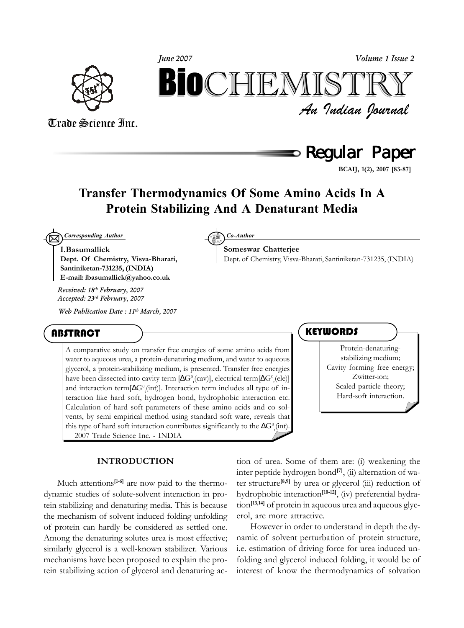



# $\mathsf{\circ}$  Regular Paper

**BCAIJ, 1(2), 2007 [83-87]**

## **Transfer Thermodynamics Of Some Amino Acids In A Protein Stabilizing And A Denaturant Media**

**Someswar Chatterjee**

 $\boxtimes$ *Corresponding Author Co-Author*

**I.Basumallick Dept. Of Chemistry, Visva-Bharati, Santiniketan-731235, (INDIA) E-mail: ibasumallick@yahoo.co.uk**

*Received: 18th February, 2007 Accepted: 23rd February, 2007*

*Web Publication Date : 11th March, 2007*

### ABSTRACT

A comparative study on transfer free energies of some amino acids from water to aqueous urea, a protein-denaturing medium, and water to aqueous glycerol, a protein-stabilizing medium, is presented. Transfer free energies have been dissected into cavity term [∆G $^0$ <sub>t</sub>(cav)], electrical term[∆G $^0$ <sub>t</sub>(ele)] and interaction term[ $\Delta G^0_{\text{t}}$ (int)]. Interaction term includes all type of interaction like hard soft, hydrogen bond, hydrophobic interaction etc. Calculation of hard soft parameters of these amino acids and co solvents, by semi empirical method using standard soft ware, reveals that this type of hard soft interaction contributes significantly to the  $\Delta G^0_{\text{t}}(\text{int})$ . 2007 Trade Science Inc. - INDIA

### **INTRODUCTION**

Much attentions<sup>[1-6]</sup> are now paid to the thermodynamic studies of solute-solvent interaction in protein stabilizing and denaturing media. This is because the mechanism of solvent induced folding unfolding of protein can hardly be considered as settled one. Among the denaturing solutes urea is most effective; similarly glycerol is a well-known stabilizer. Various mechanisms have been proposed to explain the protein stabilizing action of glycerol and denaturing ac-

tion of urea. Some of them are: (i) weakening the inter peptide hydrogen bond**[7]**, (ii) alternation of water structure**[8,9]** by urea or glycerol (iii) reduction of hydrophobic interaction**[10-12]**, (iv) preferential hydration**[13,14]** of protein in aqueous urea and aqueous glycerol, are more attractive.

However in order to understand in depth the dynamic of solvent perturbation of protein structure, i.e. estimation of driving force for urea induced unfolding and glycerol induced folding, it would be of interest of know the thermodynamics of solvation

### **KEYWORDS**

Dept. of Chemistry, Visva-Bharati, Santiniketan-731235, (INDIA)

Protein-denaturingstabilizing medium; Cavity forming free energy; Zwitter-ion; Scaled particle theory; Hard-soft interaction.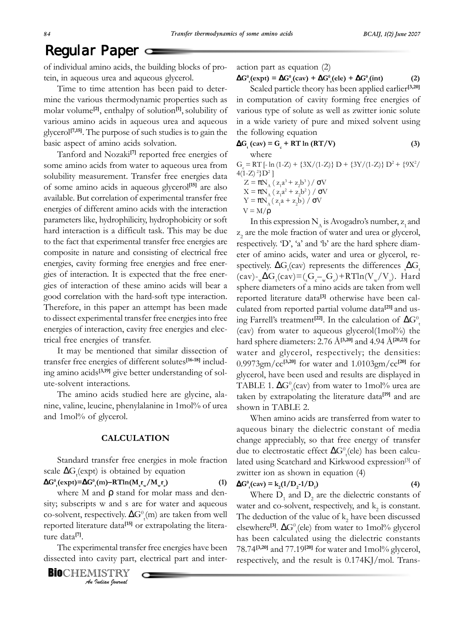## Regular Paper **=**

of individual amino acids, the building blocks of protein, in aqueous urea and aqueous glycerol.

Time to time attention has been paid to determine the various thermodynamic properties such as molar volume<sup>[2]</sup>, enthalpy of solution<sup>[1]</sup>, solubility of various amino acids in aqueous urea and aqueous glycerol**[7,15]**. The purpose of such studies is to gain the basic aspect of amino acids solvation.

Tanford and Nozaki**[7]** reported free energies of some amino acids from water to aqueous urea from solubility measurement. Transfer free energies data of some amino acids in aqueous glycerol**[15]** are also available. But correlation of experimental transfer free energies of different amino acids with the interaction parameters like, hydrophilicity, hydrophobicity or soft hard interaction is a difficult task. This may be due to the fact that experimental transfer free energies are composite in nature and consisting of electrical free energies, cavity forming free energies and free energies of interaction. It is expected that the free energies of interaction of these amino acids will bear a good correlation with the hard-soft type interaction. Therefore, in this paper an attempt has been made to dissect experimental transfer free energies into free energies of interaction, cavity free energies and electrical free energies of transfer.

It may be mentioned that similar dissection of transfer free energies of different solutes**[16-18]** including amino acids**[3,19]** give better understanding of solute-solvent interactions.

The amino acids studied here are glycine, alanine, valine, leucine, phenylalanine in 1mol% of urea and 1mol% of glycerol.

### **CALCULATION**

Standard transfer free energies in mole fraction scale  $\Delta G_t$ (expt) is obtained by equation

 $\Delta G^{0}_{\alpha}$ (expt)**=** $\Delta G^{0}_{\alpha}$ (m)−RTln( $M_{s}^{r}r_{w}^{}/M_{w}^{r}s_{w}^{2}$ 

where M and  $\rho$  stand for molar mass and density; subscripts w and s are for water and aqueous co-solvent, respectively.  $\Delta G^0_{\text{t}}(m)$  are taken from well reported literature data**[15]** or extrapolating the literature data**[7]**.

The experimental transfer free energies have been dissected into cavity part, electrical part and inter-

*An Indian Journal* **BIO**CHEMISTRY action part as equation (2)

 $\Delta G^{0}_{t}(\text{expt}) = \Delta G^{0}_{t}(\text{cav}) + \Delta G^{0}_{t}(\text{ele}) + \Delta G^{0}_{t}(\text{int})$  (2)

Scaled particle theory has been applied earlier**[3,20]** in computation of cavity forming free energies of various type of solute as well as zwitter ionic solute in a wide variety of pure and mixed solvent using the following equation

 $\Delta G_t^{\text{(cav)}} = G_c^{\text{(b)}} + RT \ln (RT/V)$  (3) where

G<sub>c</sub> = RT [- ln (1-Z) + {3X/(1-Z)} D + {3Y/(1-Z)} D<sup>2</sup> + {9X<sup>2</sup>/  $4(1-Z)^2\}D^2$ ]  $Z = \pi N_A (z_1 a^3 + z_2 b^3) / σV$  $X = πN_A (z_1a^2 + z_2b^2) / σV$ 

$$
Y = \pi N_{A} (z_1 a + z_2 b) / \sigma V
$$

$$
\mathrm{V}=\mathrm{M}/\rho
$$

In this expression  $N_A$  is Avogadro's number,  $z_1$  and  $z_2$  are the mole fraction of water and urea or glycerol, respectively. 'D', 'a' and 'b' are the hard sphere diameter of amino acids, water and urea or glycerol, respectively.  $\Delta G_t$ (cav) represents the differences  $_{s}\Delta G_t$  $(\text{cav})$ -<sub>w</sub> $\Delta G_t(\text{cav}) = ({}_{s}G_{c-w}G_{c}) + RT\ln(V_{w}/V_{s})$ . Hard sphere diameters of a mino acids are taken from well reported literature data**[3]** otherwise have been calculated from reported partial volume data**[21]** and using Farrell's treatment<sup>[22]</sup>. In the calculation of  $\Delta G^0_{\rm t}$ (cav) from water to aqueous glycerol $(1 \text{mol})\%$  the hard sphere diameters: 2.76 Å**[3,20]** and 4.94 Å**[20,23]** for water and glycerol, respectively; the densities: 0.9973gm/cc**[3,20]** for water and 1.0103gm/cc**[20]** for glycerol, have been used and results are displayed in TABLE 1.  $\Delta G^0_{\phantom{0}t}$ (cav) from water to 1mol% urea are taken by extrapolating the literature data**[19]** and are shown in TABLE 2.

When amino acids are transferred from water to aqueous binary the dielectric constant of media change appreciably, so that free energy of transfer due to electrostatic effect  $\Delta G^0_{\phantom{a}t}$ (ele) has been calculated using Scatchard and Kirkwood expression<sup>[3]</sup> of zwitter ion as shown in equation (4)

#### $\Delta G^0$ <sub>t</sub>(cav) = k<sub>2</sub>(1/D<sub>2</sub>-1/D<sub>1</sub> **) (4)**

**) (1)**

Where  $D_1$  and  $D_2$  are the dielectric constants of water and co-solvent, respectively, and  $k_2$  is constant. The deduction of the value of  $k_2$  have been discussed elsewhere<sup>[3]</sup>. ∆G<sup>0</sup><sub>t</sub>(ele) from water to 1mol% glycerol has been calculated using the dielectric constants 78.74**[3,20]** and 77.19**[20]** for water and 1mol% glycerol, respectively, and the result is 0.174KJ/mol. Trans-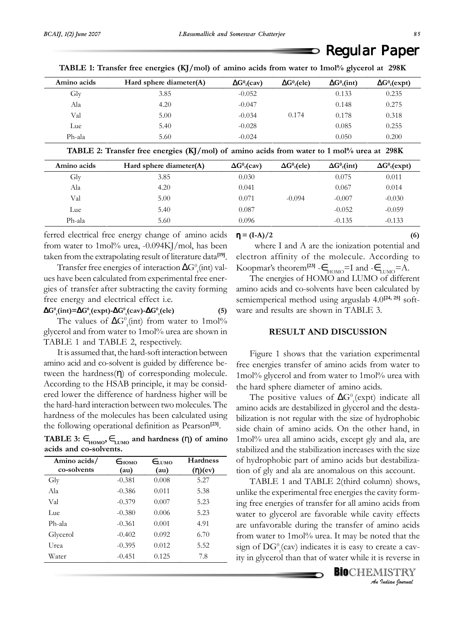## Regular Paper

| Amino acids | Hard sphere diameter $(A)$ | $\Delta G^0$ <sub>t</sub> (cav) | $\Delta G^0$ <sub>t</sub> (ele) | $\Delta G^0$ <sub>t</sub> (int) | $\Delta G^0_t$ (expt) |
|-------------|----------------------------|---------------------------------|---------------------------------|---------------------------------|-----------------------|
| Gly         | 3.85                       | $-0.052$                        |                                 | 0.133                           | 0.235                 |
| Ala         | 4.20                       | $-0.047$                        |                                 | 0.148                           | 0.275                 |
| Val         | 5.00                       | $-0.034$                        | 0.174                           | 0.178                           | 0.318                 |
| Lue         | 5.40                       | $-0.028$                        |                                 | 0.085                           | 0.255                 |
| Ph-ala      | 5.60                       | $-0.024$                        |                                 | 0.050                           | 0.200                 |

**TABLE 1: Transfer free energies (KJ/mol) of amino acids from water to 1mol% glycerol at 298K**

**TABLE 2: Transfer free energies (KJ/mol) of amino acids from water to 1 mol% urea at 298K**

| Amino acids | Hard sphere diameter(A) | $\Delta G^0_t(cav)$ | $\Delta G^0$ <sub>t</sub> (ele) | $\Delta G^0$ <sub>t</sub> (int) | $\Delta G^0_t$ (expt) |
|-------------|-------------------------|---------------------|---------------------------------|---------------------------------|-----------------------|
| Gly         | 3.85                    | 0.030               |                                 | 0.075                           | 0.011                 |
| Ala         | 4.20                    | 0.041               |                                 | 0.067                           | 0.014                 |
| Val         | 5.00                    | 0.071               | $-0.094$                        | $-0.007$                        | $-0.030$              |
| Lue         | 5.40                    | 0.087               |                                 | $-0.052$                        | $-0.059$              |
| Ph-ala      | 5.60                    | 0.096               |                                 | $-0.135$                        | $-0.133$              |

ferred electrical free energy change of amino acids from water to 1mol% urea,  $-0.094K$ ]/mol, has been taken from the extrapolating result of literature data**[19]**.

Transfer free energies of interaction  $\Delta G^0_{\phantom{0}t}$  (int) values have been calculated from experimental free energies of transfer after subtracting the cavity forming free energy and electrical effect i.e.

 $\Delta G^0$ <sub>t</sub>(int)= $\Delta G^0$ <sub>t</sub>(expt)- $\Delta G^0$ <sub>t</sub>(cav)- $\Delta G^0$ <sub>t</sub>(ele) (5)

The values of  $\Delta G^0_{\ \rm t}$ (int) from water to 1mol% glycerol and from water to 1mol% urea are shown in TABLE 1 and TABLE 2, respectively.

It is assumed that, the hard-soft interaction between amino acid and co-solvent is guided by difference between the hardness $(\eta)$  of corresponding molecule. According to the HSAB principle, it may be considered lower the difference of hardness higher will be the hard-hard interaction between two molecules. The hardness of the molecules has been calculated using the following operational definition as Pearson**[23]**.

TABLE 3:  $\in$ <sub>HOMO</sub>,  $\in$ <sub>LUMO</sub> and hardness (η) of amino **acids and co-solvents.**

| Amino acids/<br>co-solvents | $E_{HOMO}$<br>(au) | $E_{\text{LIMO}}$<br>(au) | <b>Hardness</b><br>$(\eta)(ev)$ |
|-----------------------------|--------------------|---------------------------|---------------------------------|
| Gly                         | $-0.381$           | 0.008                     | 5.27                            |
| Ala                         | $-0.386$           | 0.011                     | 5.38                            |
| Val                         | $-0.379$           | 0.007                     | 5.23                            |
| Lue                         | $-0.380$           | 0.006                     | 5.23                            |
| $Ph$ -ala                   | $-0.361$           | 0.001                     | 4.91                            |
| Glycerol                    | $-0.402$           | 0.092                     | 6.70                            |
| Urea                        | $-0.395$           | 0.012                     | 5.52                            |
| Water                       | $-0.451$           | 0.125                     | 7.8                             |

### $\eta = (I-A)/2$  (6)

where I and A are the ionization potential and electron affinity of the molecule. According to Koopmar's theorem<sup>[23]</sup>  $-\epsilon$ <sub>HOMO</sub>=I and  $-\epsilon$ <sub>LUMO</sub>=A.

The energies of HOMO and LUMO of different amino acids and co-solvents have been calculated by semiemperical method using arguslab 4.0**[24, 25]** software and results are shown in TABLE 3.

### **RESULT AND DISCUSSION**

Figure 1 shows that the variation experimental free energies transfer of amino acids from water to 1mol% glycerol and from water to 1mol% urea with the hard sphere diameter of amino acids.

The positive values of  $\Delta G^0_{t}$ (expt) indicate all amino acids are destabilized in glycerol and the destabilization is not regular with the size of hydrophobic side chain of amino acids. On the other hand, in 1mol% urea all amino acids, except gly and ala, are stabilized and the stabilization increases with the size of hydrophobic part of amino acids but destabilization of gly and ala are anomalous on this account.

TABLE 1 and TABLE 2(third column) shows, unlike the experimental free energies the cavity forming free energies of transfer for all amino acids from water to glycerol are favorable while cavity effects are unfavorable during the transfer of amino acids from water to 1mol% urea. It may be noted that the sign of  $\text{DG}_\text{t}^0(\text{cav})$  indicates it is easy to create a cavity in glycerol than that of water while it is reverse in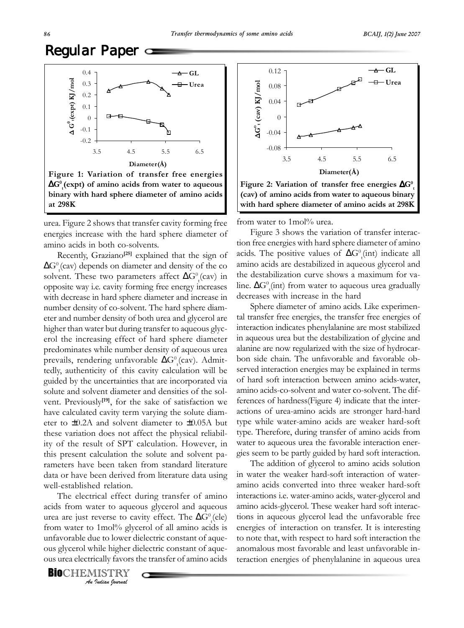# Regular Paper  $\subset$



urea. Figure 2 shows that transfer cavity forming free energies increase with the hard sphere diameter of amino acids in both co-solvents.

Recently, Graziano**[25]** explained that the sign of  $\Delta G^0_{\ \rm r}$ (cav) depends on diameter and density of the co solvent. These two parameters affect  $\Delta G^0_{\ \rm t}$ (cav) in opposite way i.e. cavity forming free energy increases with decrease in hard sphere diameter and increase in number density of co-solvent. The hard sphere diameter and number density of both urea and glycerol are higher than water but during transfer to aqueous glycerol the increasing effect of hard sphere diameter predominates while number density of aqueous urea prevails, rendering unfavorable  $\Delta G^0_{\phantom{a}t}$ (cav). Admittedly, authenticity of this cavity calculation will be guided by the uncertainties that are incorporated via solute and solvent diameter and densities of the solvent. Previously**[19]**, for the sake of satisfaction we have calculated cavity term varying the solute diameter to ±0.2A and solvent diameter to ±0.05A but these variation does not affect the physical reliability of the result of SPT calculation. However, in this present calculation the solute and solvent parameters have been taken from standard literature data or have been derived from literature data using well-established relation.

The electrical effect during transfer of amino acids from water to aqueous glycerol and aqueous urea are just reverse to cavity effect. The  $\Delta G^0_{\phantom{a}t}$  (ele) from water to 1mol% glycerol of all amino acids is unfavorable due to lower dielectric constant of aqueous glycerol while higher dielectric constant of aqueous urea electrically favors the transfer of amino acids

*An Indian Journal* **BIO**CHEMISTRY



from water to 1mol% urea.

Figure 3 shows the variation of transfer interaction free energies with hard sphere diameter of amino acids. The positive values of  $\Delta G^0(t)$  indicate all amino acids are destabilized in aqueous glycerol and the destabilization curve shows a maximum for valine.  $\Delta G^0_{\phantom{0}t}$ (int) from water to aqueous urea gradually decreases with increase in the hard

Sphere diameter of amino acids. Like experimental transfer free energies, the transfer free energies of interaction indicates phenylalanine are most stabilized in aqueous urea but the destabilization of glycine and alanine are now regularized with the size of hydrocarbon side chain. The unfavorable and favorable observed interaction energies may be explained in terms of hard soft interaction between amino acids-water, amino acids-co-solvent and water co-solvent. The differences of hardness(Figure 4) indicate that the interactions of urea-amino acids are stronger hard-hard type while water-amino acids are weaker hard-soft type. Therefore, during transfer of amino acids from water to aqueous urea the favorable interaction energies seem to be partly guided by hard soft interaction.

The addition of glycerol to amino acids solution in water the weaker hard-soft interaction of wateramino acids converted into three weaker hard-soft interactions i.e. water-amino acids, water-glycerol and amino acids-glycerol. These weaker hard soft interactions in aqueous glycerol lead the unfavorable free energies of interaction on transfer. It is interesting to note that, with respect to hard soft interaction the anomalous most favorable and least unfavorable interaction energies of phenylalanine in aqueous urea